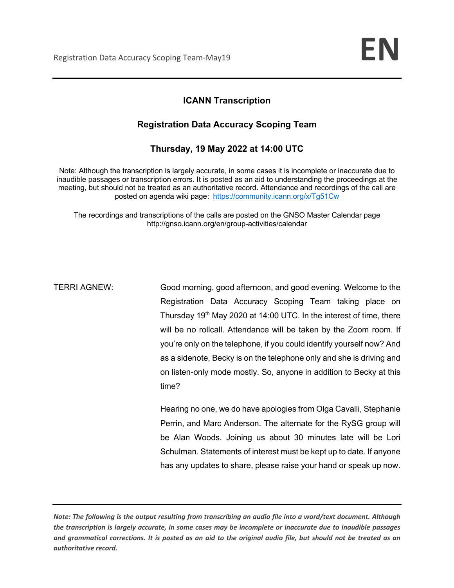## **ICANN Transcription**

## **Registration Data Accuracy Scoping Team**

## **Thursday, 19 May 2022 at 14:00 UTC**

Note: Although the transcription is largely accurate, in some cases it is incomplete or inaccurate due to inaudible passages or transcription errors. It is posted as an aid to understanding the proceedings at the meeting, but should not be treated as an authoritative record. Attendance and recordings of the call are posted on agenda wiki page: https://community.icann.org/x/Tg51Cw

The recordings and transcriptions of the calls are posted on the GNSO Master Calendar page http://gnso.icann.org/en/group-activities/calendar

TERRI AGNEW: Good morning, good afternoon, and good evening. Welcome to the Registration Data Accuracy Scoping Team taking place on Thursday  $19<sup>th</sup>$  May 2020 at 14:00 UTC. In the interest of time, there will be no rollcall. Attendance will be taken by the Zoom room. If you're only on the telephone, if you could identify yourself now? And as a sidenote, Becky is on the telephone only and she is driving and on listen-only mode mostly. So, anyone in addition to Becky at this time?

> Hearing no one, we do have apologies from Olga Cavalli, Stephanie Perrin, and Marc Anderson. The alternate for the RySG group will be Alan Woods. Joining us about 30 minutes late will be Lori Schulman. Statements of interest must be kept up to date. If anyone has any updates to share, please raise your hand or speak up now.

*Note: The following is the output resulting from transcribing an audio file into a word/text document. Although the transcription is largely accurate, in some cases may be incomplete or inaccurate due to inaudible passages and grammatical corrections. It is posted as an aid to the original audio file, but should not be treated as an authoritative record.*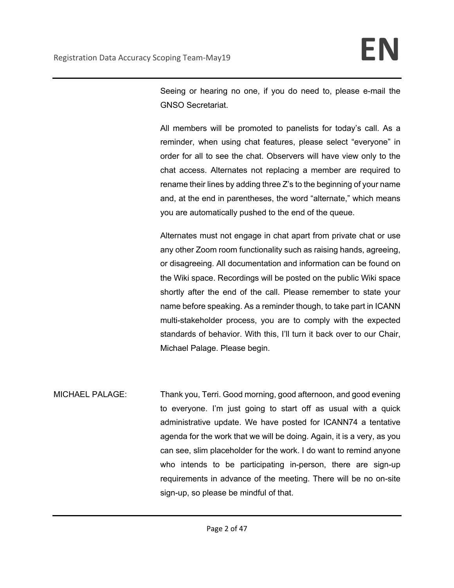Seeing or hearing no one, if you do need to, please e-mail the GNSO Secretariat.

All members will be promoted to panelists for today's call. As a reminder, when using chat features, please select "everyone" in order for all to see the chat. Observers will have view only to the chat access. Alternates not replacing a member are required to rename their lines by adding three Z's to the beginning of your name and, at the end in parentheses, the word "alternate," which means you are automatically pushed to the end of the queue.

Alternates must not engage in chat apart from private chat or use any other Zoom room functionality such as raising hands, agreeing, or disagreeing. All documentation and information can be found on the Wiki space. Recordings will be posted on the public Wiki space shortly after the end of the call. Please remember to state your name before speaking. As a reminder though, to take part in ICANN multi-stakeholder process, you are to comply with the expected standards of behavior. With this, I'll turn it back over to our Chair, Michael Palage. Please begin.

MICHAEL PALAGE: Thank you, Terri. Good morning, good afternoon, and good evening to everyone. I'm just going to start off as usual with a quick administrative update. We have posted for ICANN74 a tentative agenda for the work that we will be doing. Again, it is a very, as you can see, slim placeholder for the work. I do want to remind anyone who intends to be participating in-person, there are sign-up requirements in advance of the meeting. There will be no on-site sign-up, so please be mindful of that.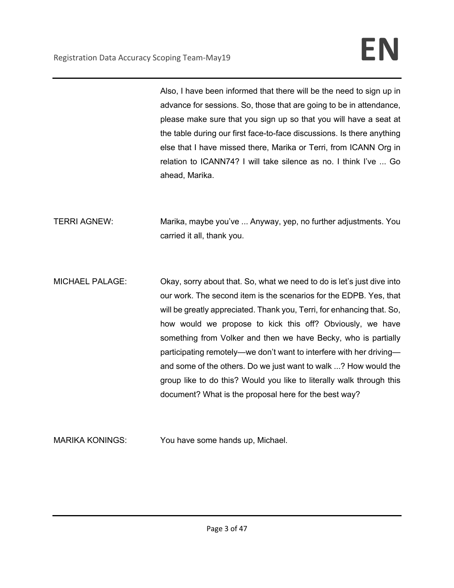Also, I have been informed that there will be the need to sign up in advance for sessions. So, those that are going to be in attendance, please make sure that you sign up so that you will have a seat at the table during our first face-to-face discussions. Is there anything else that I have missed there, Marika or Terri, from ICANN Org in relation to ICANN74? I will take silence as no. I think I've ... Go ahead, Marika.

TERRI AGNEW: Marika, maybe you've ... Anyway, yep, no further adjustments. You carried it all, thank you.

MICHAEL PALAGE: Okay, sorry about that. So, what we need to do is let's just dive into our work. The second item is the scenarios for the EDPB. Yes, that will be greatly appreciated. Thank you, Terri, for enhancing that. So, how would we propose to kick this off? Obviously, we have something from Volker and then we have Becky, who is partially participating remotely—we don't want to interfere with her driving and some of the others. Do we just want to walk ...? How would the group like to do this? Would you like to literally walk through this document? What is the proposal here for the best way?

MARIKA KONINGS: You have some hands up, Michael.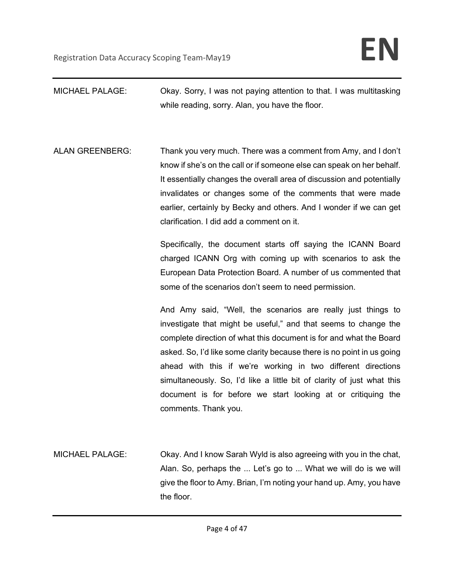MICHAEL PALAGE: Okay. Sorry, I was not paying attention to that. I was multitasking while reading, sorry. Alan, you have the floor. ALAN GREENBERG: Thank you very much. There was a comment from Amy, and I don't know if she's on the call or if someone else can speak on her behalf. It essentially changes the overall area of discussion and potentially invalidates or changes some of the comments that were made earlier, certainly by Becky and others. And I wonder if we can get clarification. I did add a comment on it. Specifically, the document starts off saying the ICANN Board charged ICANN Org with coming up with scenarios to ask the European Data Protection Board. A number of us commented that some of the scenarios don't seem to need permission. And Amy said, "Well, the scenarios are really just things to investigate that might be useful," and that seems to change the complete direction of what this document is for and what the Board asked. So, I'd like some clarity because there is no point in us going ahead with this if we're working in two different directions simultaneously. So, I'd like a little bit of clarity of just what this document is for before we start looking at or critiquing the comments. Thank you. MICHAEL PALAGE: Okay. And I know Sarah Wyld is also agreeing with you in the chat, Alan. So, perhaps the ... Let's go to ... What we will do is we will give the floor to Amy. Brian, I'm noting your hand up. Amy, you have the floor.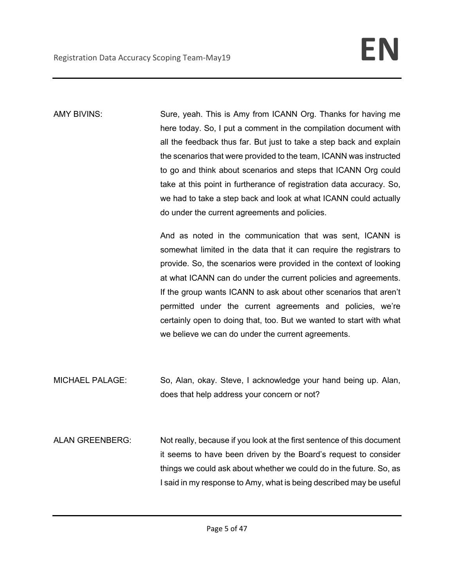AMY BIVINS: Sure, yeah. This is Amy from ICANN Org. Thanks for having me here today. So, I put a comment in the compilation document with all the feedback thus far. But just to take a step back and explain the scenarios that were provided to the team, ICANN was instructed to go and think about scenarios and steps that ICANN Org could take at this point in furtherance of registration data accuracy. So, we had to take a step back and look at what ICANN could actually do under the current agreements and policies.

> And as noted in the communication that was sent, ICANN is somewhat limited in the data that it can require the registrars to provide. So, the scenarios were provided in the context of looking at what ICANN can do under the current policies and agreements. If the group wants ICANN to ask about other scenarios that aren't permitted under the current agreements and policies, we're certainly open to doing that, too. But we wanted to start with what we believe we can do under the current agreements.

- MICHAEL PALAGE: So, Alan, okay. Steve, I acknowledge your hand being up. Alan, does that help address your concern or not?
- ALAN GREENBERG: Not really, because if you look at the first sentence of this document it seems to have been driven by the Board's request to consider things we could ask about whether we could do in the future. So, as I said in my response to Amy, what is being described may be useful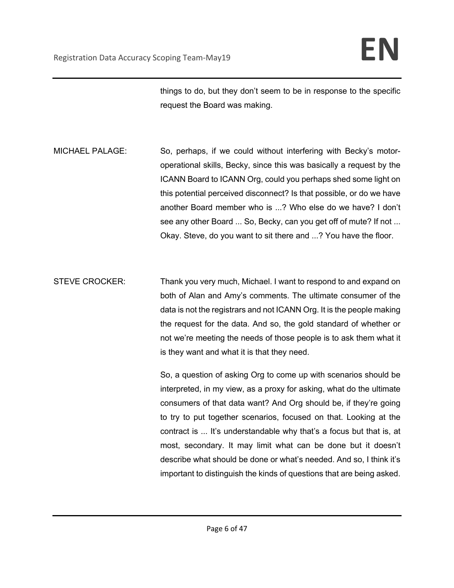things to do, but they don't seem to be in response to the specific request the Board was making.

MICHAEL PALAGE: So, perhaps, if we could without interfering with Becky's motoroperational skills, Becky, since this was basically a request by the ICANN Board to ICANN Org, could you perhaps shed some light on this potential perceived disconnect? Is that possible, or do we have another Board member who is ...? Who else do we have? I don't see any other Board ... So, Becky, can you get off of mute? If not ... Okay. Steve, do you want to sit there and ...? You have the floor.

STEVE CROCKER: Thank you very much, Michael. I want to respond to and expand on both of Alan and Amy's comments. The ultimate consumer of the data is not the registrars and not ICANN Org. It is the people making the request for the data. And so, the gold standard of whether or not we're meeting the needs of those people is to ask them what it is they want and what it is that they need.

> So, a question of asking Org to come up with scenarios should be interpreted, in my view, as a proxy for asking, what do the ultimate consumers of that data want? And Org should be, if they're going to try to put together scenarios, focused on that. Looking at the contract is ... It's understandable why that's a focus but that is, at most, secondary. It may limit what can be done but it doesn't describe what should be done or what's needed. And so, I think it's important to distinguish the kinds of questions that are being asked.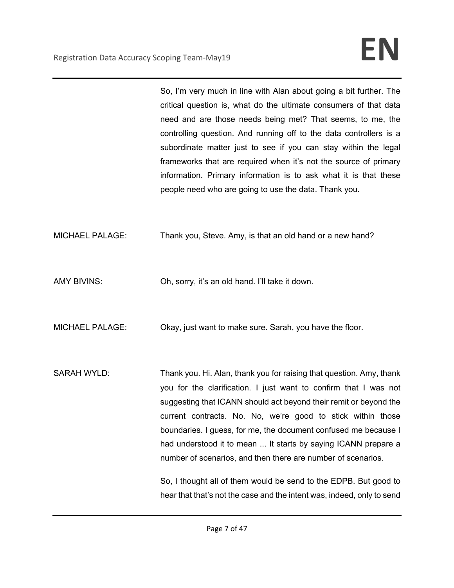So, I'm very much in line with Alan about going a bit further. The critical question is, what do the ultimate consumers of that data need and are those needs being met? That seems, to me, the controlling question. And running off to the data controllers is a subordinate matter just to see if you can stay within the legal frameworks that are required when it's not the source of primary information. Primary information is to ask what it is that these people need who are going to use the data. Thank you.

MICHAEL PALAGE: Thank you, Steve. Amy, is that an old hand or a new hand?

AMY BIVINS: Oh, sorry, it's an old hand. I'll take it down.

MICHAEL PALAGE: Okay, just want to make sure. Sarah, you have the floor.

SARAH WYLD: Thank you. Hi. Alan, thank you for raising that question. Amy, thank you for the clarification. I just want to confirm that I was not suggesting that ICANN should act beyond their remit or beyond the current contracts. No. No, we're good to stick within those boundaries. I guess, for me, the document confused me because I had understood it to mean ... It starts by saying ICANN prepare a number of scenarios, and then there are number of scenarios.

> So, I thought all of them would be send to the EDPB. But good to hear that that's not the case and the intent was, indeed, only to send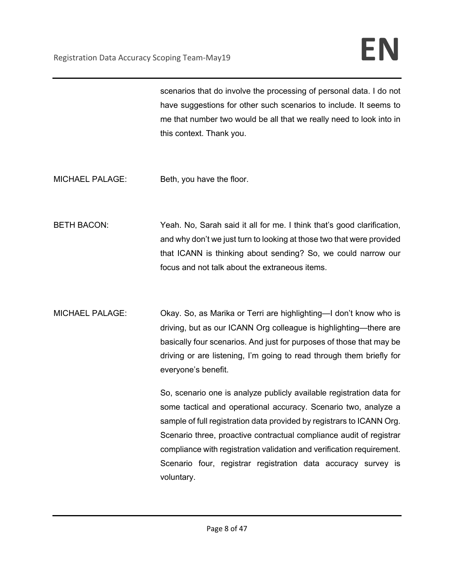scenarios that do involve the processing of personal data. I do not have suggestions for other such scenarios to include. It seems to me that number two would be all that we really need to look into in this context. Thank you.

- MICHAEL PALAGE: Beth, you have the floor.
- BETH BACON: Yeah. No, Sarah said it all for me. I think that's good clarification, and why don't we just turn to looking at those two that were provided that ICANN is thinking about sending? So, we could narrow our focus and not talk about the extraneous items.
- MICHAEL PALAGE: Okay. So, as Marika or Terri are highlighting—I don't know who is driving, but as our ICANN Org colleague is highlighting—there are basically four scenarios. And just for purposes of those that may be driving or are listening, I'm going to read through them briefly for everyone's benefit.

So, scenario one is analyze publicly available registration data for some tactical and operational accuracy. Scenario two, analyze a sample of full registration data provided by registrars to ICANN Org. Scenario three, proactive contractual compliance audit of registrar compliance with registration validation and verification requirement. Scenario four, registrar registration data accuracy survey is voluntary.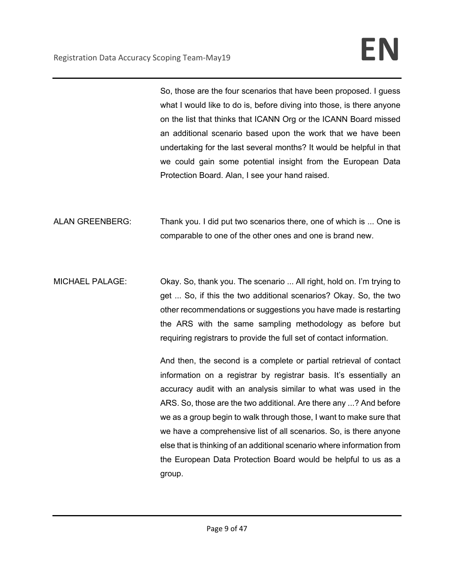So, those are the four scenarios that have been proposed. I guess what I would like to do is, before diving into those, is there anyone on the list that thinks that ICANN Org or the ICANN Board missed an additional scenario based upon the work that we have been undertaking for the last several months? It would be helpful in that we could gain some potential insight from the European Data Protection Board. Alan, I see your hand raised.

ALAN GREENBERG: Thank you. I did put two scenarios there, one of which is ... One is comparable to one of the other ones and one is brand new.

MICHAEL PALAGE: Okay. So, thank you. The scenario ... All right, hold on. I'm trying to get ... So, if this the two additional scenarios? Okay. So, the two other recommendations or suggestions you have made is restarting the ARS with the same sampling methodology as before but requiring registrars to provide the full set of contact information.

> And then, the second is a complete or partial retrieval of contact information on a registrar by registrar basis. It's essentially an accuracy audit with an analysis similar to what was used in the ARS. So, those are the two additional. Are there any ...? And before we as a group begin to walk through those, I want to make sure that we have a comprehensive list of all scenarios. So, is there anyone else that is thinking of an additional scenario where information from the European Data Protection Board would be helpful to us as a group.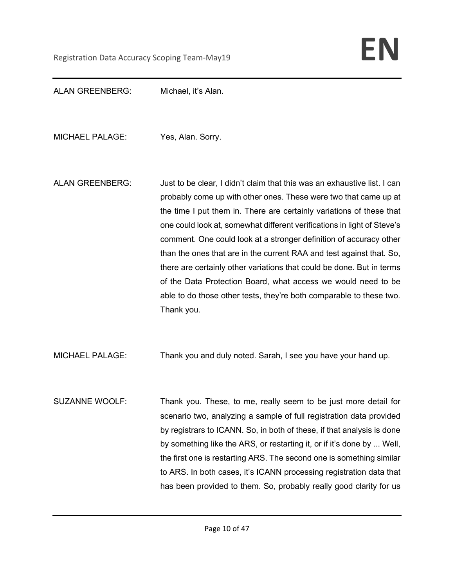ALAN GREENBERG: Michael, it's Alan.

MICHAEL PALAGE: Yes, Alan. Sorry.

ALAN GREENBERG: Just to be clear, I didn't claim that this was an exhaustive list. I can probably come up with other ones. These were two that came up at the time I put them in. There are certainly variations of these that one could look at, somewhat different verifications in light of Steve's comment. One could look at a stronger definition of accuracy other than the ones that are in the current RAA and test against that. So, there are certainly other variations that could be done. But in terms of the Data Protection Board, what access we would need to be able to do those other tests, they're both comparable to these two. Thank you.

MICHAEL PALAGE: Thank you and duly noted. Sarah, I see you have your hand up.

SUZANNE WOOLF: Thank you. These, to me, really seem to be just more detail for scenario two, analyzing a sample of full registration data provided by registrars to ICANN. So, in both of these, if that analysis is done by something like the ARS, or restarting it, or if it's done by ... Well, the first one is restarting ARS. The second one is something similar to ARS. In both cases, it's ICANN processing registration data that has been provided to them. So, probably really good clarity for us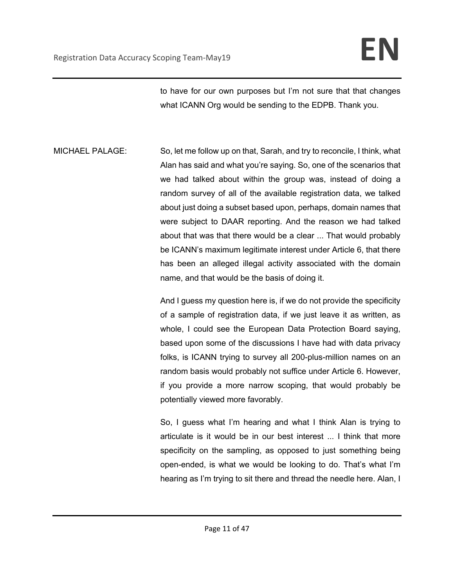to have for our own purposes but I'm not sure that that changes what ICANN Org would be sending to the EDPB. Thank you.

MICHAEL PALAGE: So, let me follow up on that, Sarah, and try to reconcile, I think, what Alan has said and what you're saying. So, one of the scenarios that we had talked about within the group was, instead of doing a random survey of all of the available registration data, we talked about just doing a subset based upon, perhaps, domain names that were subject to DAAR reporting. And the reason we had talked about that was that there would be a clear ... That would probably be ICANN's maximum legitimate interest under Article 6, that there has been an alleged illegal activity associated with the domain name, and that would be the basis of doing it.

> And I guess my question here is, if we do not provide the specificity of a sample of registration data, if we just leave it as written, as whole, I could see the European Data Protection Board saying, based upon some of the discussions I have had with data privacy folks, is ICANN trying to survey all 200-plus-million names on an random basis would probably not suffice under Article 6. However, if you provide a more narrow scoping, that would probably be potentially viewed more favorably.

> So, I guess what I'm hearing and what I think Alan is trying to articulate is it would be in our best interest ... I think that more specificity on the sampling, as opposed to just something being open-ended, is what we would be looking to do. That's what I'm hearing as I'm trying to sit there and thread the needle here. Alan, I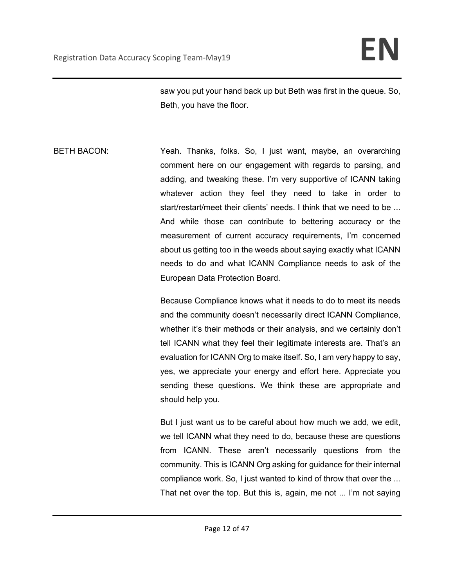saw you put your hand back up but Beth was first in the queue. So, Beth, you have the floor.

BETH BACON: Yeah. Thanks, folks. So, I just want, maybe, an overarching comment here on our engagement with regards to parsing, and adding, and tweaking these. I'm very supportive of ICANN taking whatever action they feel they need to take in order to start/restart/meet their clients' needs. I think that we need to be ... And while those can contribute to bettering accuracy or the measurement of current accuracy requirements, I'm concerned about us getting too in the weeds about saying exactly what ICANN needs to do and what ICANN Compliance needs to ask of the European Data Protection Board.

> Because Compliance knows what it needs to do to meet its needs and the community doesn't necessarily direct ICANN Compliance, whether it's their methods or their analysis, and we certainly don't tell ICANN what they feel their legitimate interests are. That's an evaluation for ICANN Org to make itself. So, I am very happy to say, yes, we appreciate your energy and effort here. Appreciate you sending these questions. We think these are appropriate and should help you.

> But I just want us to be careful about how much we add, we edit, we tell ICANN what they need to do, because these are questions from ICANN. These aren't necessarily questions from the community. This is ICANN Org asking for guidance for their internal compliance work. So, I just wanted to kind of throw that over the ... That net over the top. But this is, again, me not ... I'm not saying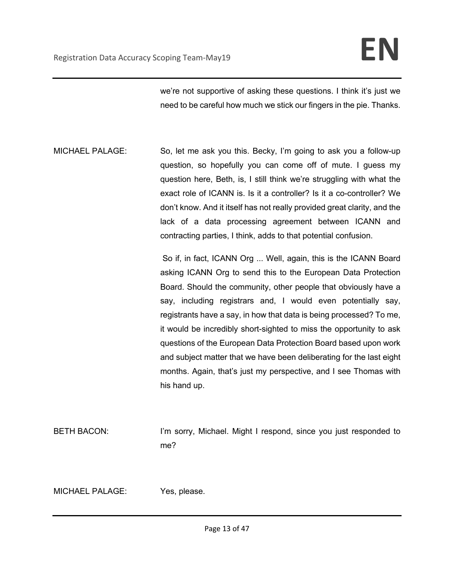we're not supportive of asking these questions. I think it's just we need to be careful how much we stick our fingers in the pie. Thanks.

MICHAEL PALAGE: So, let me ask you this. Becky, I'm going to ask you a follow-up question, so hopefully you can come off of mute. I guess my question here, Beth, is, I still think we're struggling with what the exact role of ICANN is. Is it a controller? Is it a co-controller? We don't know. And it itself has not really provided great clarity, and the lack of a data processing agreement between ICANN and contracting parties, I think, adds to that potential confusion.

> So if, in fact, ICANN Org ... Well, again, this is the ICANN Board asking ICANN Org to send this to the European Data Protection Board. Should the community, other people that obviously have a say, including registrars and, I would even potentially say, registrants have a say, in how that data is being processed? To me, it would be incredibly short-sighted to miss the opportunity to ask questions of the European Data Protection Board based upon work and subject matter that we have been deliberating for the last eight months. Again, that's just my perspective, and I see Thomas with his hand up.

BETH BACON: I'm sorry, Michael. Might I respond, since you just responded to me?

MICHAEL PALAGE: Yes, please.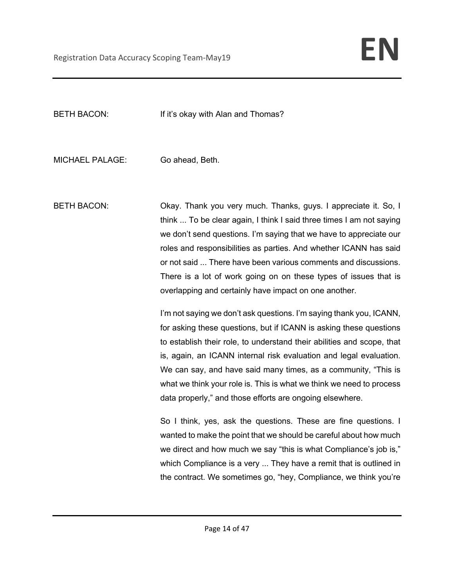BETH BACON: If it's okay with Alan and Thomas?

MICHAEL PALAGE: Go ahead, Beth.

BETH BACON: Okay. Thank you very much. Thanks, guys. I appreciate it. So, I think ... To be clear again, I think I said three times I am not saying we don't send questions. I'm saying that we have to appreciate our roles and responsibilities as parties. And whether ICANN has said or not said ... There have been various comments and discussions. There is a lot of work going on on these types of issues that is overlapping and certainly have impact on one another.

> I'm not saying we don't ask questions. I'm saying thank you, ICANN, for asking these questions, but if ICANN is asking these questions to establish their role, to understand their abilities and scope, that is, again, an ICANN internal risk evaluation and legal evaluation. We can say, and have said many times, as a community, "This is what we think your role is. This is what we think we need to process data properly," and those efforts are ongoing elsewhere.

> So I think, yes, ask the questions. These are fine questions. I wanted to make the point that we should be careful about how much we direct and how much we say "this is what Compliance's job is," which Compliance is a very ... They have a remit that is outlined in the contract. We sometimes go, "hey, Compliance, we think you're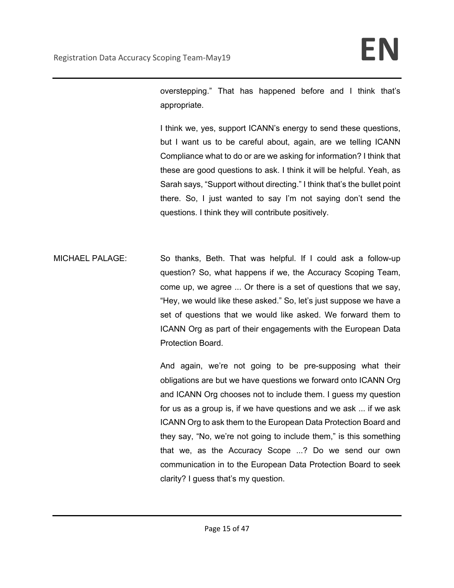overstepping." That has happened before and I think that's appropriate.

I think we, yes, support ICANN's energy to send these questions, but I want us to be careful about, again, are we telling ICANN Compliance what to do or are we asking for information? I think that these are good questions to ask. I think it will be helpful. Yeah, as Sarah says, "Support without directing." I think that's the bullet point there. So, I just wanted to say I'm not saying don't send the questions. I think they will contribute positively.

MICHAEL PALAGE: So thanks, Beth. That was helpful. If I could ask a follow-up question? So, what happens if we, the Accuracy Scoping Team, come up, we agree ... Or there is a set of questions that we say, "Hey, we would like these asked." So, let's just suppose we have a set of questions that we would like asked. We forward them to ICANN Org as part of their engagements with the European Data Protection Board.

> And again, we're not going to be pre-supposing what their obligations are but we have questions we forward onto ICANN Org and ICANN Org chooses not to include them. I guess my question for us as a group is, if we have questions and we ask ... if we ask ICANN Org to ask them to the European Data Protection Board and they say, "No, we're not going to include them," is this something that we, as the Accuracy Scope ...? Do we send our own communication in to the European Data Protection Board to seek clarity? I guess that's my question.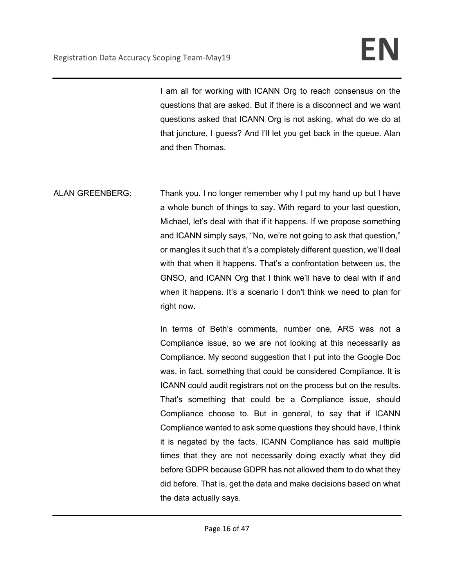I am all for working with ICANN Org to reach consensus on the questions that are asked. But if there is a disconnect and we want questions asked that ICANN Org is not asking, what do we do at that juncture, I guess? And I'll let you get back in the queue. Alan and then Thomas.

ALAN GREENBERG: Thank you. I no longer remember why I put my hand up but I have a whole bunch of things to say. With regard to your last question, Michael, let's deal with that if it happens. If we propose something and ICANN simply says, "No, we're not going to ask that question," or mangles it such that it's a completely different question, we'll deal with that when it happens. That's a confrontation between us, the GNSO, and ICANN Org that I think we'll have to deal with if and when it happens. It's a scenario I don't think we need to plan for right now.

> In terms of Beth's comments, number one, ARS was not a Compliance issue, so we are not looking at this necessarily as Compliance. My second suggestion that I put into the Google Doc was, in fact, something that could be considered Compliance. It is ICANN could audit registrars not on the process but on the results. That's something that could be a Compliance issue, should Compliance choose to. But in general, to say that if ICANN Compliance wanted to ask some questions they should have, I think it is negated by the facts. ICANN Compliance has said multiple times that they are not necessarily doing exactly what they did before GDPR because GDPR has not allowed them to do what they did before. That is, get the data and make decisions based on what the data actually says.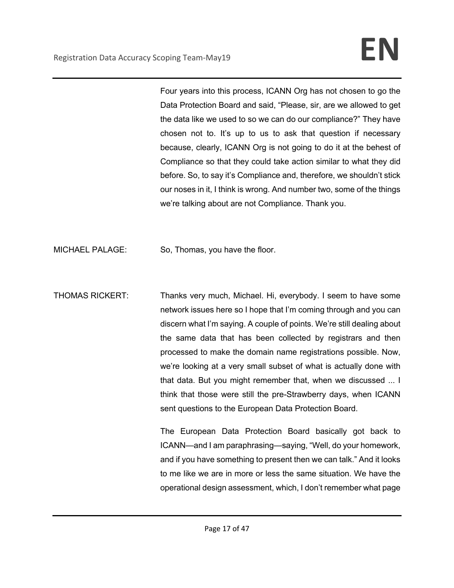Four years into this process, ICANN Org has not chosen to go the Data Protection Board and said, "Please, sir, are we allowed to get the data like we used to so we can do our compliance?" They have chosen not to. It's up to us to ask that question if necessary because, clearly, ICANN Org is not going to do it at the behest of Compliance so that they could take action similar to what they did before. So, to say it's Compliance and, therefore, we shouldn't stick our noses in it, I think is wrong. And number two, some of the things we're talking about are not Compliance. Thank you.

MICHAEL PALAGE: So, Thomas, you have the floor.

THOMAS RICKERT: Thanks very much, Michael. Hi, everybody. I seem to have some network issues here so I hope that I'm coming through and you can discern what I'm saying. A couple of points. We're still dealing about the same data that has been collected by registrars and then processed to make the domain name registrations possible. Now, we're looking at a very small subset of what is actually done with that data. But you might remember that, when we discussed ... I think that those were still the pre-Strawberry days, when ICANN sent questions to the European Data Protection Board.

> The European Data Protection Board basically got back to ICANN—and I am paraphrasing—saying, "Well, do your homework, and if you have something to present then we can talk." And it looks to me like we are in more or less the same situation. We have the operational design assessment, which, I don't remember what page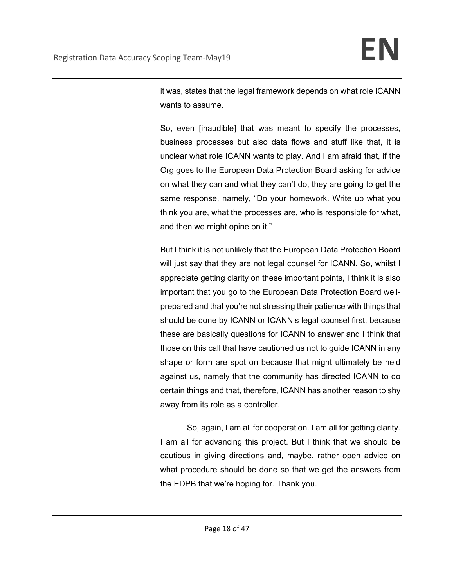it was, states that the legal framework depends on what role ICANN wants to assume.

So, even [inaudible] that was meant to specify the processes, business processes but also data flows and stuff like that, it is unclear what role ICANN wants to play. And I am afraid that, if the Org goes to the European Data Protection Board asking for advice on what they can and what they can't do, they are going to get the same response, namely, "Do your homework. Write up what you think you are, what the processes are, who is responsible for what, and then we might opine on it."

But I think it is not unlikely that the European Data Protection Board will just say that they are not legal counsel for ICANN. So, whilst I appreciate getting clarity on these important points, I think it is also important that you go to the European Data Protection Board wellprepared and that you're not stressing their patience with things that should be done by ICANN or ICANN's legal counsel first, because these are basically questions for ICANN to answer and I think that those on this call that have cautioned us not to guide ICANN in any shape or form are spot on because that might ultimately be held against us, namely that the community has directed ICANN to do certain things and that, therefore, ICANN has another reason to shy away from its role as a controller.

So, again, I am all for cooperation. I am all for getting clarity. I am all for advancing this project. But I think that we should be cautious in giving directions and, maybe, rather open advice on what procedure should be done so that we get the answers from the EDPB that we're hoping for. Thank you.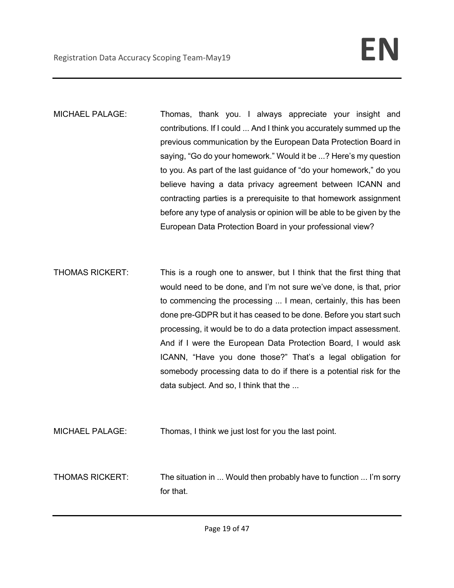MICHAEL PALAGE: Thomas, thank you. I always appreciate your insight and contributions. If I could ... And I think you accurately summed up the previous communication by the European Data Protection Board in saying, "Go do your homework." Would it be ...? Here's my question to you. As part of the last guidance of "do your homework," do you believe having a data privacy agreement between ICANN and contracting parties is a prerequisite to that homework assignment before any type of analysis or opinion will be able to be given by the European Data Protection Board in your professional view?

THOMAS RICKERT: This is a rough one to answer, but I think that the first thing that would need to be done, and I'm not sure we've done, is that, prior to commencing the processing ... I mean, certainly, this has been done pre-GDPR but it has ceased to be done. Before you start such processing, it would be to do a data protection impact assessment. And if I were the European Data Protection Board, I would ask ICANN, "Have you done those?" That's a legal obligation for somebody processing data to do if there is a potential risk for the data subject. And so, I think that the ...

MICHAEL PALAGE: Thomas, I think we just lost for you the last point.

THOMAS RICKERT: The situation in ... Would then probably have to function ... I'm sorry for that.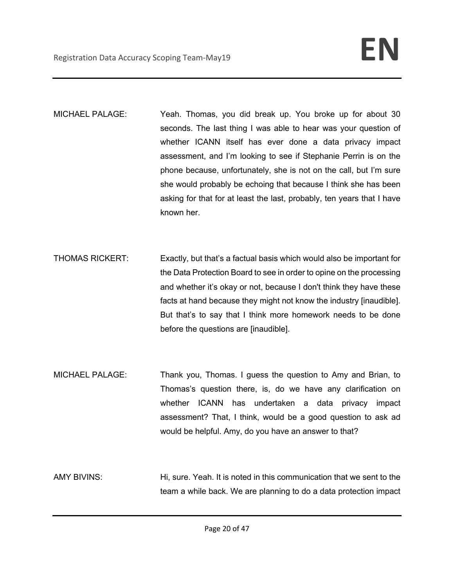- MICHAEL PALAGE: Yeah. Thomas, you did break up. You broke up for about 30 seconds. The last thing I was able to hear was your question of whether ICANN itself has ever done a data privacy impact assessment, and I'm looking to see if Stephanie Perrin is on the phone because, unfortunately, she is not on the call, but I'm sure she would probably be echoing that because I think she has been asking for that for at least the last, probably, ten years that I have known her.
- THOMAS RICKERT: Exactly, but that's a factual basis which would also be important for the Data Protection Board to see in order to opine on the processing and whether it's okay or not, because I don't think they have these facts at hand because they might not know the industry [inaudible]. But that's to say that I think more homework needs to be done before the questions are [inaudible].
- MICHAEL PALAGE: Thank you, Thomas. I guess the question to Amy and Brian, to Thomas's question there, is, do we have any clarification on whether ICANN has undertaken a data privacy impact assessment? That, I think, would be a good question to ask ad would be helpful. Amy, do you have an answer to that?
- AMY BIVINS: Hi, sure. Yeah. It is noted in this communication that we sent to the team a while back. We are planning to do a data protection impact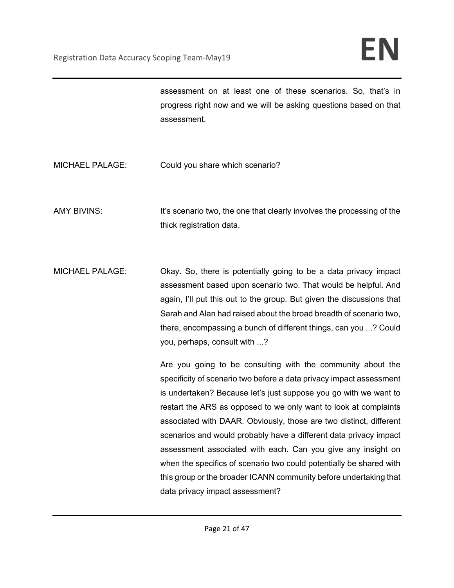assessment on at least one of these scenarios. So, that's in progress right now and we will be asking questions based on that assessment.

MICHAEL PALAGE: Could you share which scenario?

AMY BIVINS: It's scenario two, the one that clearly involves the processing of the thick registration data.

MICHAEL PALAGE: Okay. So, there is potentially going to be a data privacy impact assessment based upon scenario two. That would be helpful. And again, I'll put this out to the group. But given the discussions that Sarah and Alan had raised about the broad breadth of scenario two, there, encompassing a bunch of different things, can you ...? Could you, perhaps, consult with ...?

> Are you going to be consulting with the community about the specificity of scenario two before a data privacy impact assessment is undertaken? Because let's just suppose you go with we want to restart the ARS as opposed to we only want to look at complaints associated with DAAR. Obviously, those are two distinct, different scenarios and would probably have a different data privacy impact assessment associated with each. Can you give any insight on when the specifics of scenario two could potentially be shared with this group or the broader ICANN community before undertaking that data privacy impact assessment?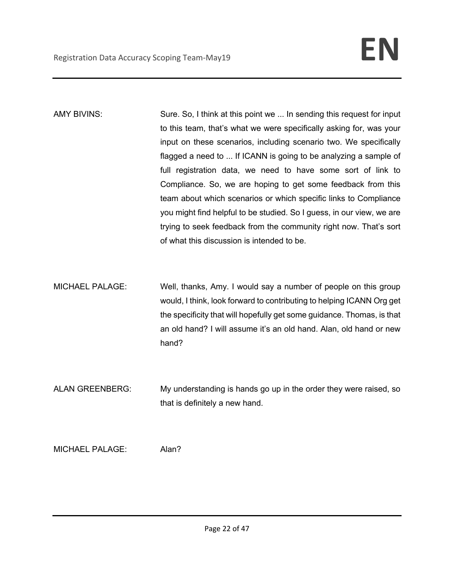- AMY BIVINS: Sure. So, I think at this point we ... In sending this request for input to this team, that's what we were specifically asking for, was your input on these scenarios, including scenario two. We specifically flagged a need to ... If ICANN is going to be analyzing a sample of full registration data, we need to have some sort of link to Compliance. So, we are hoping to get some feedback from this team about which scenarios or which specific links to Compliance you might find helpful to be studied. So I guess, in our view, we are trying to seek feedback from the community right now. That's sort of what this discussion is intended to be.
- MICHAEL PALAGE: Well, thanks, Amy. I would say a number of people on this group would, I think, look forward to contributing to helping ICANN Org get the specificity that will hopefully get some guidance. Thomas, is that an old hand? I will assume it's an old hand. Alan, old hand or new hand?
- ALAN GREENBERG: My understanding is hands go up in the order they were raised, so that is definitely a new hand.

MICHAEL PALAGE: Alan?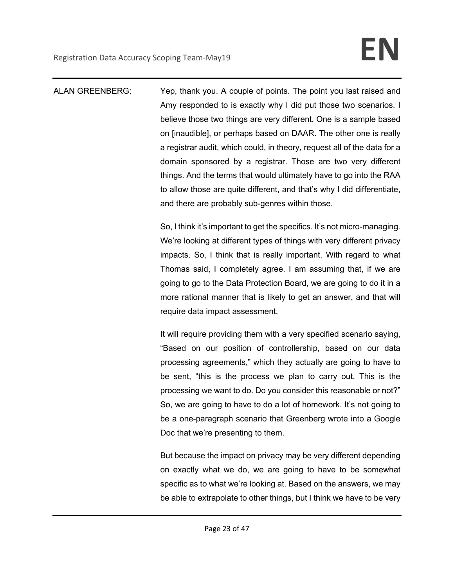ALAN GREENBERG: Yep, thank you. A couple of points. The point you last raised and Amy responded to is exactly why I did put those two scenarios. I believe those two things are very different. One is a sample based on [inaudible], or perhaps based on DAAR. The other one is really a registrar audit, which could, in theory, request all of the data for a domain sponsored by a registrar. Those are two very different things. And the terms that would ultimately have to go into the RAA to allow those are quite different, and that's why I did differentiate, and there are probably sub-genres within those.

> So, I think it's important to get the specifics. It's not micro-managing. We're looking at different types of things with very different privacy impacts. So, I think that is really important. With regard to what Thomas said, I completely agree. I am assuming that, if we are going to go to the Data Protection Board, we are going to do it in a more rational manner that is likely to get an answer, and that will require data impact assessment.

> It will require providing them with a very specified scenario saying, "Based on our position of controllership, based on our data processing agreements," which they actually are going to have to be sent, "this is the process we plan to carry out. This is the processing we want to do. Do you consider this reasonable or not?" So, we are going to have to do a lot of homework. It's not going to be a one-paragraph scenario that Greenberg wrote into a Google Doc that we're presenting to them.

> But because the impact on privacy may be very different depending on exactly what we do, we are going to have to be somewhat specific as to what we're looking at. Based on the answers, we may be able to extrapolate to other things, but I think we have to be very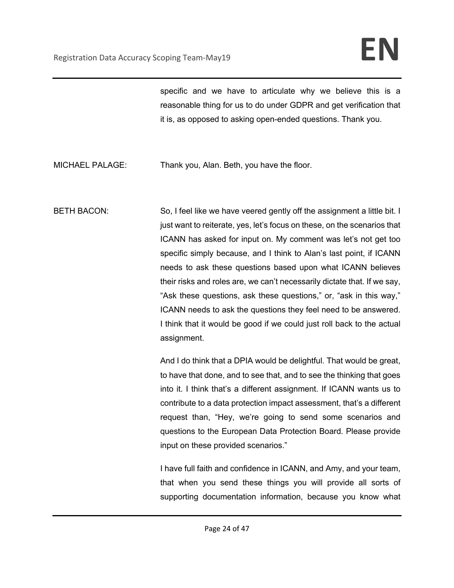specific and we have to articulate why we believe this is a reasonable thing for us to do under GDPR and get verification that it is, as opposed to asking open-ended questions. Thank you.

- MICHAEL PALAGE: Thank you, Alan. Beth, you have the floor.
- BETH BACON: So, I feel like we have veered gently off the assignment a little bit. I just want to reiterate, yes, let's focus on these, on the scenarios that ICANN has asked for input on. My comment was let's not get too specific simply because, and I think to Alan's last point, if ICANN needs to ask these questions based upon what ICANN believes their risks and roles are, we can't necessarily dictate that. If we say, "Ask these questions, ask these questions," or, "ask in this way," ICANN needs to ask the questions they feel need to be answered. I think that it would be good if we could just roll back to the actual assignment.

And I do think that a DPIA would be delightful. That would be great, to have that done, and to see that, and to see the thinking that goes into it. I think that's a different assignment. If ICANN wants us to contribute to a data protection impact assessment, that's a different request than, "Hey, we're going to send some scenarios and questions to the European Data Protection Board. Please provide input on these provided scenarios."

I have full faith and confidence in ICANN, and Amy, and your team, that when you send these things you will provide all sorts of supporting documentation information, because you know what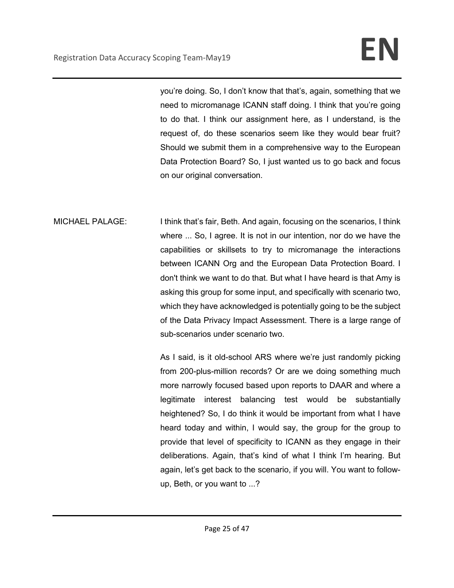you're doing. So, I don't know that that's, again, something that we need to micromanage ICANN staff doing. I think that you're going to do that. I think our assignment here, as I understand, is the request of, do these scenarios seem like they would bear fruit? Should we submit them in a comprehensive way to the European Data Protection Board? So, I just wanted us to go back and focus on our original conversation.

MICHAEL PALAGE: I think that's fair, Beth. And again, focusing on the scenarios, I think where ... So, I agree. It is not in our intention, nor do we have the capabilities or skillsets to try to micromanage the interactions between ICANN Org and the European Data Protection Board. I don't think we want to do that. But what I have heard is that Amy is asking this group for some input, and specifically with scenario two, which they have acknowledged is potentially going to be the subject of the Data Privacy Impact Assessment. There is a large range of sub-scenarios under scenario two.

> As I said, is it old-school ARS where we're just randomly picking from 200-plus-million records? Or are we doing something much more narrowly focused based upon reports to DAAR and where a legitimate interest balancing test would be substantially heightened? So, I do think it would be important from what I have heard today and within, I would say, the group for the group to provide that level of specificity to ICANN as they engage in their deliberations. Again, that's kind of what I think I'm hearing. But again, let's get back to the scenario, if you will. You want to followup, Beth, or you want to ...?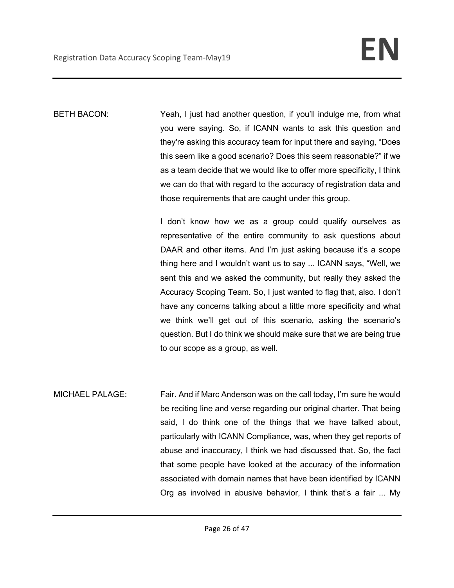BETH BACON: Yeah, I just had another question, if you'll indulge me, from what you were saying. So, if ICANN wants to ask this question and they're asking this accuracy team for input there and saying, "Does this seem like a good scenario? Does this seem reasonable?" if we as a team decide that we would like to offer more specificity, I think we can do that with regard to the accuracy of registration data and those requirements that are caught under this group.

> I don't know how we as a group could qualify ourselves as representative of the entire community to ask questions about DAAR and other items. And I'm just asking because it's a scope thing here and I wouldn't want us to say ... ICANN says, "Well, we sent this and we asked the community, but really they asked the Accuracy Scoping Team. So, I just wanted to flag that, also. I don't have any concerns talking about a little more specificity and what we think we'll get out of this scenario, asking the scenario's question. But I do think we should make sure that we are being true to our scope as a group, as well.

MICHAEL PALAGE: Fair. And if Marc Anderson was on the call today, I'm sure he would be reciting line and verse regarding our original charter. That being said, I do think one of the things that we have talked about, particularly with ICANN Compliance, was, when they get reports of abuse and inaccuracy, I think we had discussed that. So, the fact that some people have looked at the accuracy of the information associated with domain names that have been identified by ICANN Org as involved in abusive behavior, I think that's a fair ... My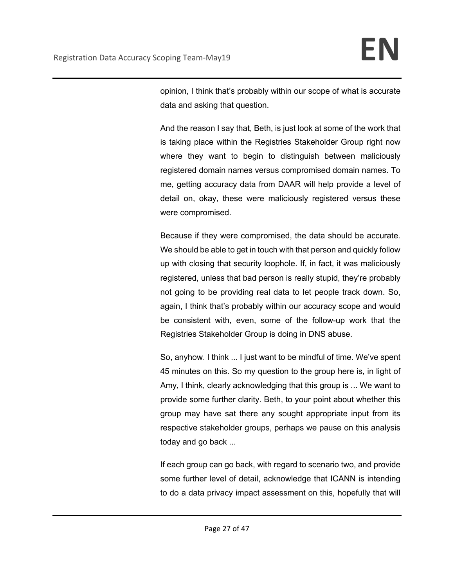opinion, I think that's probably within our scope of what is accurate data and asking that question.

And the reason I say that, Beth, is just look at some of the work that is taking place within the Registries Stakeholder Group right now where they want to begin to distinguish between maliciously registered domain names versus compromised domain names. To me, getting accuracy data from DAAR will help provide a level of detail on, okay, these were maliciously registered versus these were compromised.

Because if they were compromised, the data should be accurate. We should be able to get in touch with that person and quickly follow up with closing that security loophole. If, in fact, it was maliciously registered, unless that bad person is really stupid, they're probably not going to be providing real data to let people track down. So, again, I think that's probably within our accuracy scope and would be consistent with, even, some of the follow-up work that the Registries Stakeholder Group is doing in DNS abuse.

So, anyhow. I think ... I just want to be mindful of time. We've spent 45 minutes on this. So my question to the group here is, in light of Amy, I think, clearly acknowledging that this group is ... We want to provide some further clarity. Beth, to your point about whether this group may have sat there any sought appropriate input from its respective stakeholder groups, perhaps we pause on this analysis today and go back ...

If each group can go back, with regard to scenario two, and provide some further level of detail, acknowledge that ICANN is intending to do a data privacy impact assessment on this, hopefully that will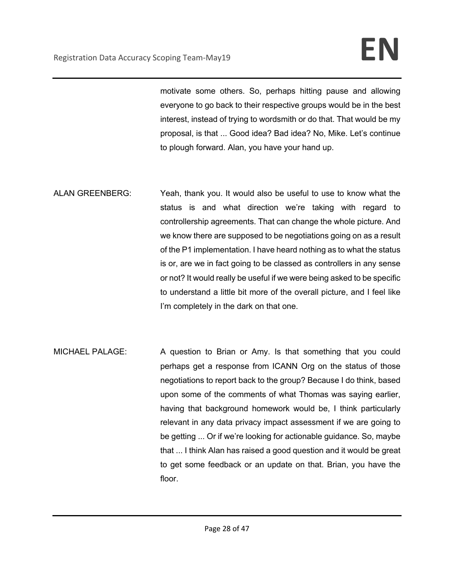motivate some others. So, perhaps hitting pause and allowing everyone to go back to their respective groups would be in the best interest, instead of trying to wordsmith or do that. That would be my proposal, is that ... Good idea? Bad idea? No, Mike. Let's continue to plough forward. Alan, you have your hand up.

- ALAN GREENBERG: Yeah, thank you. It would also be useful to use to know what the status is and what direction we're taking with regard to controllership agreements. That can change the whole picture. And we know there are supposed to be negotiations going on as a result of the P1 implementation. I have heard nothing as to what the status is or, are we in fact going to be classed as controllers in any sense or not? It would really be useful if we were being asked to be specific to understand a little bit more of the overall picture, and I feel like I'm completely in the dark on that one.
- MICHAEL PALAGE: A question to Brian or Amy. Is that something that you could perhaps get a response from ICANN Org on the status of those negotiations to report back to the group? Because I do think, based upon some of the comments of what Thomas was saying earlier, having that background homework would be, I think particularly relevant in any data privacy impact assessment if we are going to be getting ... Or if we're looking for actionable guidance. So, maybe that ... I think Alan has raised a good question and it would be great to get some feedback or an update on that. Brian, you have the floor.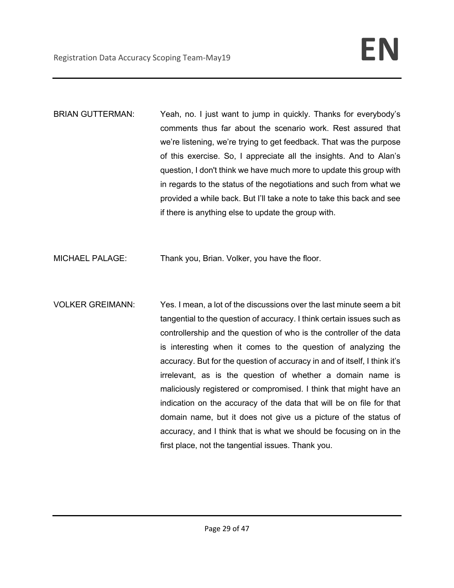- BRIAN GUTTERMAN: Yeah, no. I just want to jump in quickly. Thanks for everybody's comments thus far about the scenario work. Rest assured that we're listening, we're trying to get feedback. That was the purpose of this exercise. So, I appreciate all the insights. And to Alan's question, I don't think we have much more to update this group with in regards to the status of the negotiations and such from what we provided a while back. But I'll take a note to take this back and see if there is anything else to update the group with.
- MICHAEL PALAGE: Thank you, Brian. Volker, you have the floor.
- VOLKER GREIMANN: Yes. I mean, a lot of the discussions over the last minute seem a bit tangential to the question of accuracy. I think certain issues such as controllership and the question of who is the controller of the data is interesting when it comes to the question of analyzing the accuracy. But for the question of accuracy in and of itself, I think it's irrelevant, as is the question of whether a domain name is maliciously registered or compromised. I think that might have an indication on the accuracy of the data that will be on file for that domain name, but it does not give us a picture of the status of accuracy, and I think that is what we should be focusing on in the first place, not the tangential issues. Thank you.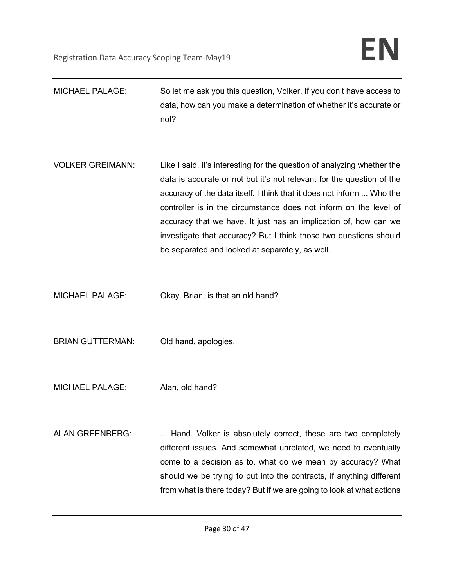MICHAEL PALAGE: So let me ask you this question, Volker. If you don't have access to data, how can you make a determination of whether it's accurate or not? VOLKER GREIMANN: Like I said, it's interesting for the question of analyzing whether the data is accurate or not but it's not relevant for the question of the accuracy of the data itself. I think that it does not inform ... Who the controller is in the circumstance does not inform on the level of accuracy that we have. It just has an implication of, how can we investigate that accuracy? But I think those two questions should be separated and looked at separately, as well. MICHAEL PALAGE: Okay. Brian, is that an old hand? BRIAN GUTTERMAN: Old hand, apologies. MICHAEL PALAGE: Alan, old hand? ALAN GREENBERG: ... Hand. Volker is absolutely correct, these are two completely different issues. And somewhat unrelated, we need to eventually come to a decision as to, what do we mean by accuracy? What should we be trying to put into the contracts, if anything different from what is there today? But if we are going to look at what actions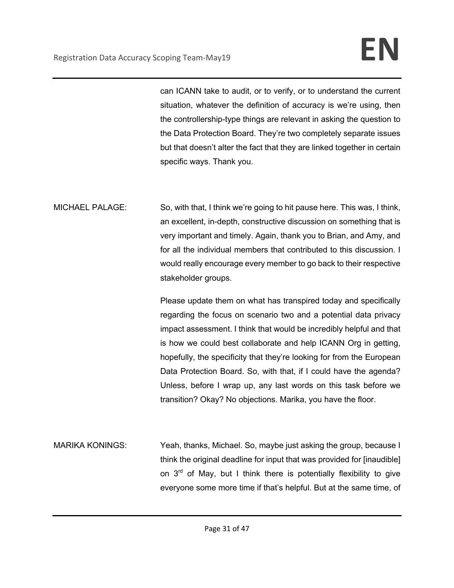can ICANN take to audit, or to verify, or to understand the current situation, whatever the definition of accuracy is we're using, then the controllership-type things are relevant in asking the question to the Data Protection Board. They're two completely separate issues but that doesn't alter the fact that they are linked together in certain specific ways. Thank you.

MICHAEL PALAGE: So, with that, I think we're going to hit pause here. This was, I think, an excellent, in-depth, constructive discussion on something that is very important and timely. Again, thank you to Brian, and Amy, and for all the individual members that contributed to this discussion. I would really encourage every member to go back to their respective stakeholder groups.

> Please update them on what has transpired today and specifically regarding the focus on scenario two and a potential data privacy impact assessment. I think that would be incredibly helpful and that is how we could best collaborate and help ICANN Org in getting, hopefully, the specificity that they're looking for from the European Data Protection Board. So, with that, if I could have the agenda? Unless, before I wrap up, any last words on this task before we transition? Okay? No objections. Marika, you have the floor.

MARIKA KONINGS: Yeah, thanks, Michael. So, maybe just asking the group, because I think the original deadline for input that was provided for [inaudible] on  $3<sup>rd</sup>$  of May, but I think there is potentially flexibility to give everyone some more time if that's helpful. But at the same time, of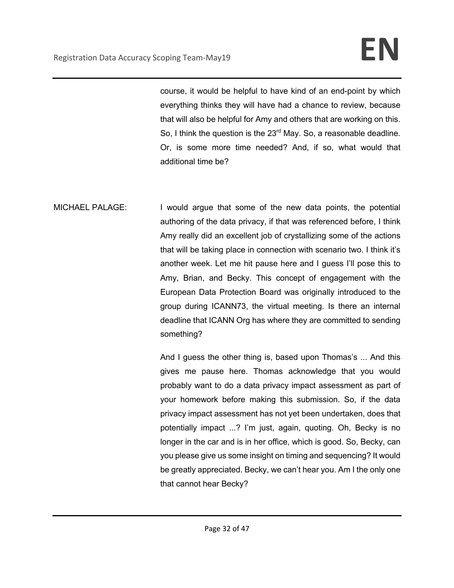course, it would be helpful to have kind of an end-point by which everything thinks they will have had a chance to review, because that will also be helpful for Amy and others that are working on this. So, I think the question is the 23<sup>rd</sup> May. So, a reasonable deadline. Or, is some more time needed? And, if so, what would that additional time be?

MICHAEL PALAGE: I would argue that some of the new data points, the potential authoring of the data privacy, if that was referenced before, I think Amy really did an excellent job of crystallizing some of the actions that will be taking place in connection with scenario two. I think it's another week. Let me hit pause here and I guess I'll pose this to Amy, Brian, and Becky. This concept of engagement with the European Data Protection Board was originally introduced to the group during ICANN73, the virtual meeting. Is there an internal deadline that ICANN Org has where they are committed to sending something?

> And I guess the other thing is, based upon Thomas's ... And this gives me pause here. Thomas acknowledge that you would probably want to do a data privacy impact assessment as part of your homework before making this submission. So, if the data privacy impact assessment has not yet been undertaken, does that potentially impact ...? I'm just, again, quoting. Oh, Becky is no longer in the car and is in her office, which is good. So, Becky, can you please give us some insight on timing and sequencing? It would be greatly appreciated. Becky, we can't hear you. Am I the only one that cannot hear Becky?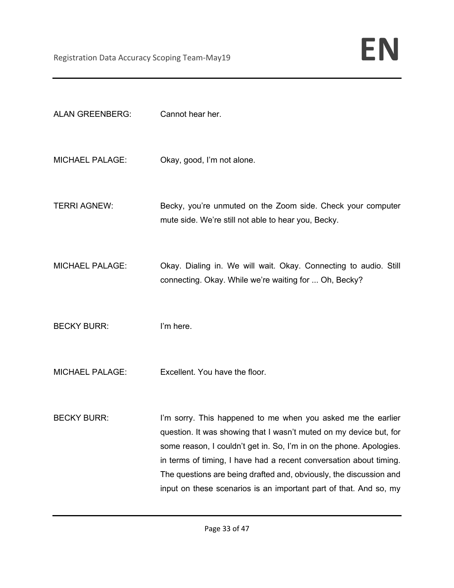| <b>ALAN GREENBERG:</b> | Cannot hear her.                                                                                                                                                                                                                                                                                                                                                                                                           |
|------------------------|----------------------------------------------------------------------------------------------------------------------------------------------------------------------------------------------------------------------------------------------------------------------------------------------------------------------------------------------------------------------------------------------------------------------------|
| <b>MICHAEL PALAGE:</b> | Okay, good, I'm not alone.                                                                                                                                                                                                                                                                                                                                                                                                 |
| <b>TERRI AGNEW:</b>    | Becky, you're unmuted on the Zoom side. Check your computer<br>mute side. We're still not able to hear you, Becky.                                                                                                                                                                                                                                                                                                         |
| <b>MICHAEL PALAGE:</b> | Okay. Dialing in. We will wait. Okay. Connecting to audio. Still<br>connecting. Okay. While we're waiting for  Oh, Becky?                                                                                                                                                                                                                                                                                                  |
| <b>BECKY BURR:</b>     | I'm here.                                                                                                                                                                                                                                                                                                                                                                                                                  |
| <b>MICHAEL PALAGE:</b> | Excellent. You have the floor.                                                                                                                                                                                                                                                                                                                                                                                             |
| <b>BECKY BURR:</b>     | I'm sorry. This happened to me when you asked me the earlier<br>question. It was showing that I wasn't muted on my device but, for<br>some reason, I couldn't get in. So, I'm in on the phone. Apologies.<br>in terms of timing, I have had a recent conversation about timing.<br>The questions are being drafted and, obviously, the discussion and<br>input on these scenarios is an important part of that. And so, my |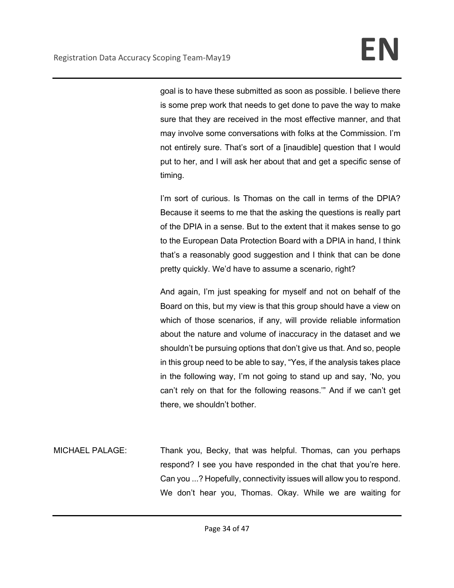goal is to have these submitted as soon as possible. I believe there is some prep work that needs to get done to pave the way to make sure that they are received in the most effective manner, and that may involve some conversations with folks at the Commission. I'm not entirely sure. That's sort of a [inaudible] question that I would put to her, and I will ask her about that and get a specific sense of timing.

I'm sort of curious. Is Thomas on the call in terms of the DPIA? Because it seems to me that the asking the questions is really part of the DPIA in a sense. But to the extent that it makes sense to go to the European Data Protection Board with a DPIA in hand, I think that's a reasonably good suggestion and I think that can be done pretty quickly. We'd have to assume a scenario, right?

And again, I'm just speaking for myself and not on behalf of the Board on this, but my view is that this group should have a view on which of those scenarios, if any, will provide reliable information about the nature and volume of inaccuracy in the dataset and we shouldn't be pursuing options that don't give us that. And so, people in this group need to be able to say, "Yes, if the analysis takes place in the following way, I'm not going to stand up and say, 'No, you can't rely on that for the following reasons.'" And if we can't get there, we shouldn't bother.

MICHAEL PALAGE: Thank you, Becky, that was helpful. Thomas, can you perhaps respond? I see you have responded in the chat that you're here. Can you ...? Hopefully, connectivity issues will allow you to respond. We don't hear you, Thomas. Okay. While we are waiting for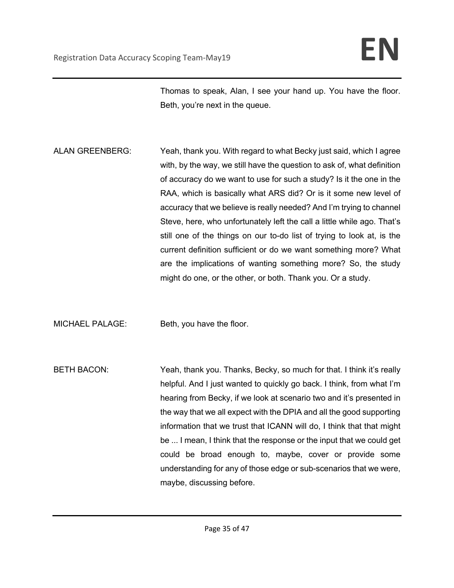Thomas to speak, Alan, I see your hand up. You have the floor. Beth, you're next in the queue.

ALAN GREENBERG: Yeah, thank you. With regard to what Becky just said, which I agree with, by the way, we still have the question to ask of, what definition of accuracy do we want to use for such a study? Is it the one in the RAA, which is basically what ARS did? Or is it some new level of accuracy that we believe is really needed? And I'm trying to channel Steve, here, who unfortunately left the call a little while ago. That's still one of the things on our to-do list of trying to look at, is the current definition sufficient or do we want something more? What are the implications of wanting something more? So, the study might do one, or the other, or both. Thank you. Or a study.

MICHAEL PALAGE: Beth, you have the floor.

BETH BACON: Yeah, thank you. Thanks, Becky, so much for that. I think it's really helpful. And I just wanted to quickly go back. I think, from what I'm hearing from Becky, if we look at scenario two and it's presented in the way that we all expect with the DPIA and all the good supporting information that we trust that ICANN will do, I think that that might be ... I mean, I think that the response or the input that we could get could be broad enough to, maybe, cover or provide some understanding for any of those edge or sub-scenarios that we were, maybe, discussing before.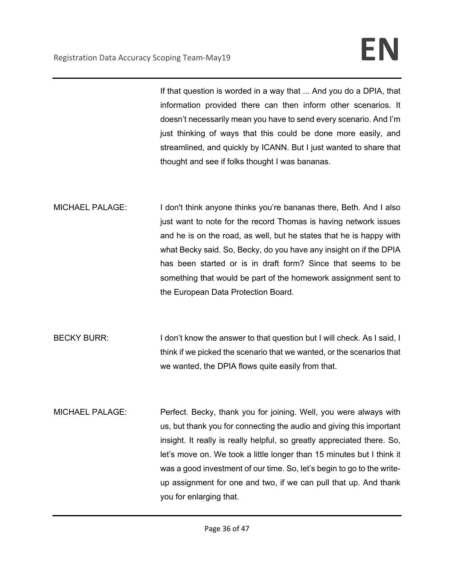If that question is worded in a way that ... And you do a DPIA, that information provided there can then inform other scenarios. It doesn't necessarily mean you have to send every scenario. And I'm just thinking of ways that this could be done more easily, and streamlined, and quickly by ICANN. But I just wanted to share that thought and see if folks thought I was bananas.

- MICHAEL PALAGE: I don't think anyone thinks you're bananas there, Beth. And I also just want to note for the record Thomas is having network issues and he is on the road, as well, but he states that he is happy with what Becky said. So, Becky, do you have any insight on if the DPIA has been started or is in draft form? Since that seems to be something that would be part of the homework assignment sent to the European Data Protection Board.
- BECKY BURR: I don't know the answer to that question but I will check. As I said, I think if we picked the scenario that we wanted, or the scenarios that we wanted, the DPIA flows quite easily from that.
- MICHAEL PALAGE: Perfect. Becky, thank you for joining. Well, you were always with us, but thank you for connecting the audio and giving this important insight. It really is really helpful, so greatly appreciated there. So, let's move on. We took a little longer than 15 minutes but I think it was a good investment of our time. So, let's begin to go to the writeup assignment for one and two, if we can pull that up. And thank you for enlarging that.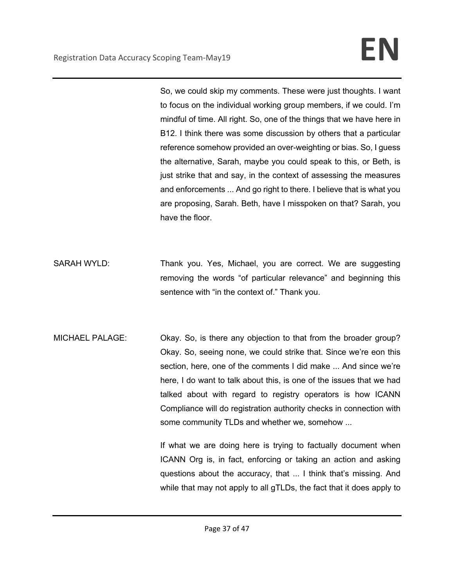So, we could skip my comments. These were just thoughts. I want to focus on the individual working group members, if we could. I'm mindful of time. All right. So, one of the things that we have here in B12. I think there was some discussion by others that a particular reference somehow provided an over-weighting or bias. So, I guess the alternative, Sarah, maybe you could speak to this, or Beth, is just strike that and say, in the context of assessing the measures and enforcements ... And go right to there. I believe that is what you are proposing, Sarah. Beth, have I misspoken on that? Sarah, you have the floor.

- SARAH WYLD: Thank you. Yes, Michael, you are correct. We are suggesting removing the words "of particular relevance" and beginning this sentence with "in the context of." Thank you.
- MICHAEL PALAGE: Okay. So, is there any objection to that from the broader group? Okay. So, seeing none, we could strike that. Since we're eon this section, here, one of the comments I did make ... And since we're here, I do want to talk about this, is one of the issues that we had talked about with regard to registry operators is how ICANN Compliance will do registration authority checks in connection with some community TLDs and whether we, somehow ...

If what we are doing here is trying to factually document when ICANN Org is, in fact, enforcing or taking an action and asking questions about the accuracy, that ... I think that's missing. And while that may not apply to all gTLDs, the fact that it does apply to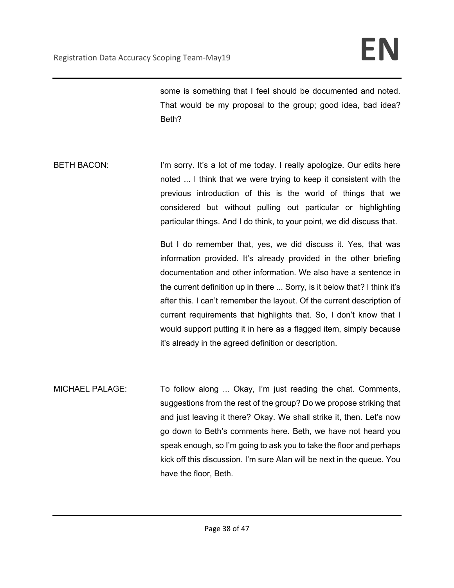some is something that I feel should be documented and noted. That would be my proposal to the group; good idea, bad idea? Beth?

BETH BACON: I'm sorry. It's a lot of me today. I really apologize. Our edits here noted ... I think that we were trying to keep it consistent with the previous introduction of this is the world of things that we considered but without pulling out particular or highlighting particular things. And I do think, to your point, we did discuss that.

> But I do remember that, yes, we did discuss it. Yes, that was information provided. It's already provided in the other briefing documentation and other information. We also have a sentence in the current definition up in there ... Sorry, is it below that? I think it's after this. I can't remember the layout. Of the current description of current requirements that highlights that. So, I don't know that I would support putting it in here as a flagged item, simply because it's already in the agreed definition or description.

MICHAEL PALAGE: To follow along ... Okay, I'm just reading the chat. Comments, suggestions from the rest of the group? Do we propose striking that and just leaving it there? Okay. We shall strike it, then. Let's now go down to Beth's comments here. Beth, we have not heard you speak enough, so I'm going to ask you to take the floor and perhaps kick off this discussion. I'm sure Alan will be next in the queue. You have the floor, Beth.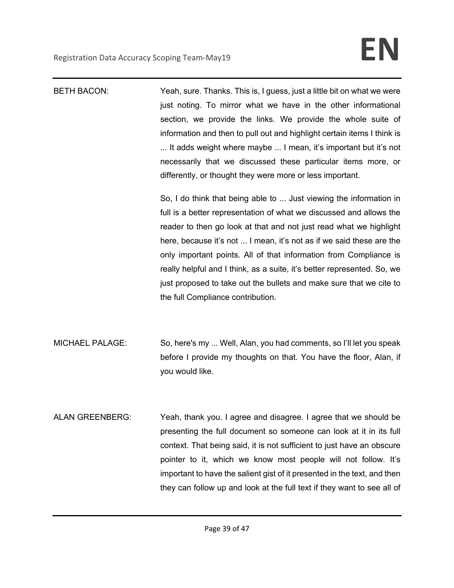| <b>BETH BACON:</b>     | Yeah, sure. Thanks. This is, I guess, just a little bit on what we were<br>just noting. To mirror what we have in the other informational<br>section, we provide the links. We provide the whole suite of<br>information and then to pull out and highlight certain items I think is<br>It adds weight where maybe  I mean, it's important but it's not<br>necessarily that we discussed these particular items more, or<br>differently, or thought they were more or less important.<br>So, I do think that being able to  Just viewing the information in<br>full is a better representation of what we discussed and allows the<br>reader to then go look at that and not just read what we highlight<br>here, because it's not  I mean, it's not as if we said these are the<br>only important points. All of that information from Compliance is<br>really helpful and I think, as a suite, it's better represented. So, we<br>just proposed to take out the bullets and make sure that we cite to<br>the full Compliance contribution. |
|------------------------|----------------------------------------------------------------------------------------------------------------------------------------------------------------------------------------------------------------------------------------------------------------------------------------------------------------------------------------------------------------------------------------------------------------------------------------------------------------------------------------------------------------------------------------------------------------------------------------------------------------------------------------------------------------------------------------------------------------------------------------------------------------------------------------------------------------------------------------------------------------------------------------------------------------------------------------------------------------------------------------------------------------------------------------------|
| <b>MICHAEL PALAGE:</b> | So, here's my  Well, Alan, you had comments, so I'll let you speak<br>before I provide my thoughts on that. You have the floor, Alan, if<br>you would like.                                                                                                                                                                                                                                                                                                                                                                                                                                                                                                                                                                                                                                                                                                                                                                                                                                                                                  |
| <b>ALAN GREENBERG:</b> | Yeah, thank you. I agree and disagree. I agree that we should be<br>presenting the full document so someone can look at it in its full<br>context. That being said, it is not sufficient to just have an obscure<br>pointer to it, which we know most people will not follow. It's<br>important to have the salient gist of it presented in the text, and then<br>they can follow up and look at the full text if they want to see all of                                                                                                                                                                                                                                                                                                                                                                                                                                                                                                                                                                                                    |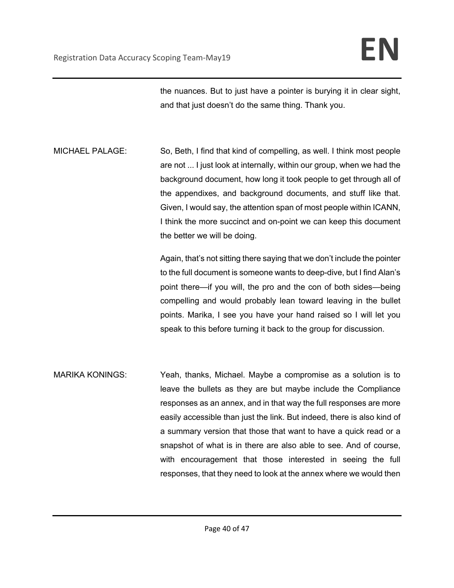the nuances. But to just have a pointer is burying it in clear sight, and that just doesn't do the same thing. Thank you.

MICHAEL PALAGE: So, Beth, I find that kind of compelling, as well. I think most people are not ... I just look at internally, within our group, when we had the background document, how long it took people to get through all of the appendixes, and background documents, and stuff like that. Given, I would say, the attention span of most people within ICANN, I think the more succinct and on-point we can keep this document the better we will be doing.

> Again, that's not sitting there saying that we don't include the pointer to the full document is someone wants to deep-dive, but I find Alan's point there—if you will, the pro and the con of both sides—being compelling and would probably lean toward leaving in the bullet points. Marika, I see you have your hand raised so I will let you speak to this before turning it back to the group for discussion.

MARIKA KONINGS: Yeah, thanks, Michael. Maybe a compromise as a solution is to leave the bullets as they are but maybe include the Compliance responses as an annex, and in that way the full responses are more easily accessible than just the link. But indeed, there is also kind of a summary version that those that want to have a quick read or a snapshot of what is in there are also able to see. And of course, with encouragement that those interested in seeing the full responses, that they need to look at the annex where we would then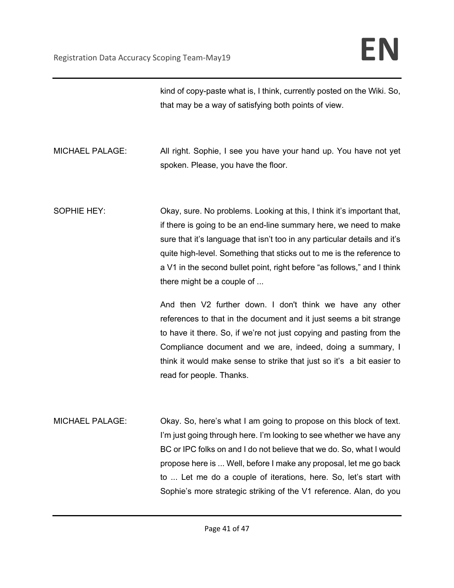kind of copy-paste what is, I think, currently posted on the Wiki. So, that may be a way of satisfying both points of view.

MICHAEL PALAGE: All right. Sophie, I see you have your hand up. You have not yet spoken. Please, you have the floor.

SOPHIE HEY: Okay, sure. No problems. Looking at this, I think it's important that, if there is going to be an end-line summary here, we need to make sure that it's language that isn't too in any particular details and it's quite high-level. Something that sticks out to me is the reference to a V1 in the second bullet point, right before "as follows," and I think there might be a couple of ...

> And then V2 further down. I don't think we have any other references to that in the document and it just seems a bit strange to have it there. So, if we're not just copying and pasting from the Compliance document and we are, indeed, doing a summary, I think it would make sense to strike that just so it's a bit easier to read for people. Thanks.

MICHAEL PALAGE: Okay. So, here's what I am going to propose on this block of text. I'm just going through here. I'm looking to see whether we have any BC or IPC folks on and I do not believe that we do. So, what I would propose here is ... Well, before I make any proposal, let me go back to ... Let me do a couple of iterations, here. So, let's start with Sophie's more strategic striking of the V1 reference. Alan, do you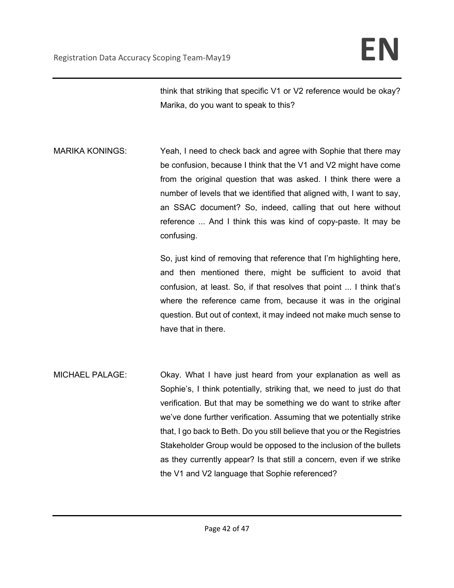think that striking that specific V1 or V2 reference would be okay? Marika, do you want to speak to this?

MARIKA KONINGS: Yeah, I need to check back and agree with Sophie that there may be confusion, because I think that the V1 and V2 might have come from the original question that was asked. I think there were a number of levels that we identified that aligned with, I want to say, an SSAC document? So, indeed, calling that out here without reference ... And I think this was kind of copy-paste. It may be confusing.

> So, just kind of removing that reference that I'm highlighting here, and then mentioned there, might be sufficient to avoid that confusion, at least. So, if that resolves that point ... I think that's where the reference came from, because it was in the original question. But out of context, it may indeed not make much sense to have that in there.

MICHAEL PALAGE: Okay. What I have just heard from your explanation as well as Sophie's, I think potentially, striking that, we need to just do that verification. But that may be something we do want to strike after we've done further verification. Assuming that we potentially strike that, I go back to Beth. Do you still believe that you or the Registries Stakeholder Group would be opposed to the inclusion of the bullets as they currently appear? Is that still a concern, even if we strike the V1 and V2 language that Sophie referenced?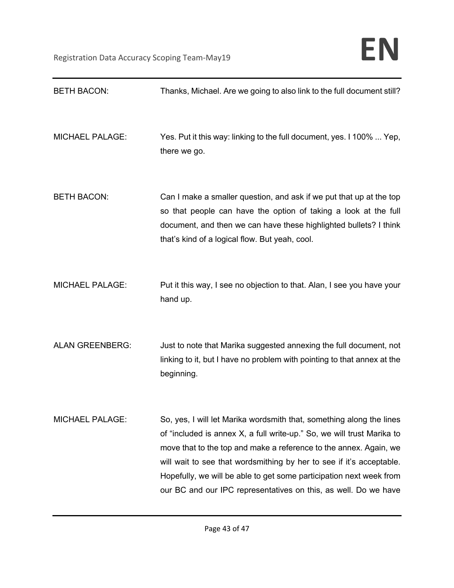| <b>BETH BACON:</b>     | Thanks, Michael. Are we going to also link to the full document still?                                                                                                                                                                                                                                                                                                                                                                |
|------------------------|---------------------------------------------------------------------------------------------------------------------------------------------------------------------------------------------------------------------------------------------------------------------------------------------------------------------------------------------------------------------------------------------------------------------------------------|
| <b>MICHAEL PALAGE:</b> | Yes. Put it this way: linking to the full document, yes. I 100%  Yep,<br>there we go.                                                                                                                                                                                                                                                                                                                                                 |
| <b>BETH BACON:</b>     | Can I make a smaller question, and ask if we put that up at the top<br>so that people can have the option of taking a look at the full<br>document, and then we can have these highlighted bullets? I think<br>that's kind of a logical flow. But yeah, cool.                                                                                                                                                                         |
| <b>MICHAEL PALAGE:</b> | Put it this way, I see no objection to that. Alan, I see you have your<br>hand up.                                                                                                                                                                                                                                                                                                                                                    |
| <b>ALAN GREENBERG:</b> | Just to note that Marika suggested annexing the full document, not<br>linking to it, but I have no problem with pointing to that annex at the<br>beginning.                                                                                                                                                                                                                                                                           |
| <b>MICHAEL PALAGE:</b> | So, yes, I will let Marika wordsmith that, something along the lines<br>of "included is annex X, a full write-up." So, we will trust Marika to<br>move that to the top and make a reference to the annex. Again, we<br>will wait to see that wordsmithing by her to see if it's acceptable.<br>Hopefully, we will be able to get some participation next week from<br>our BC and our IPC representatives on this, as well. Do we have |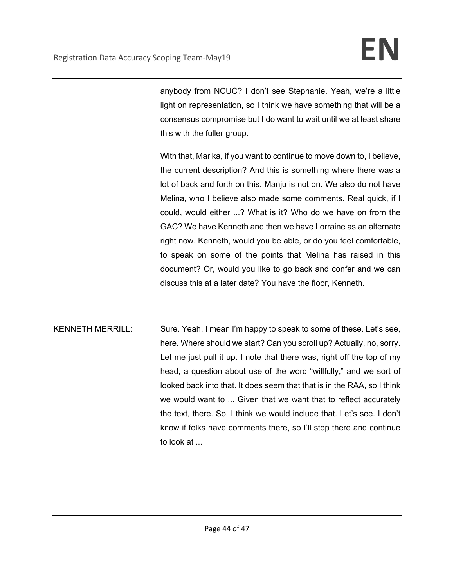anybody from NCUC? I don't see Stephanie. Yeah, we're a little light on representation, so I think we have something that will be a consensus compromise but I do want to wait until we at least share this with the fuller group.

With that, Marika, if you want to continue to move down to, I believe, the current description? And this is something where there was a lot of back and forth on this. Manju is not on. We also do not have Melina, who I believe also made some comments. Real quick, if I could, would either ...? What is it? Who do we have on from the GAC? We have Kenneth and then we have Lorraine as an alternate right now. Kenneth, would you be able, or do you feel comfortable, to speak on some of the points that Melina has raised in this document? Or, would you like to go back and confer and we can discuss this at a later date? You have the floor, Kenneth.

KENNETH MERRILL: Sure. Yeah, I mean I'm happy to speak to some of these. Let's see, here. Where should we start? Can you scroll up? Actually, no, sorry. Let me just pull it up. I note that there was, right off the top of my head, a question about use of the word "willfully," and we sort of looked back into that. It does seem that that is in the RAA, so I think we would want to ... Given that we want that to reflect accurately the text, there. So, I think we would include that. Let's see. I don't know if folks have comments there, so I'll stop there and continue to look at ...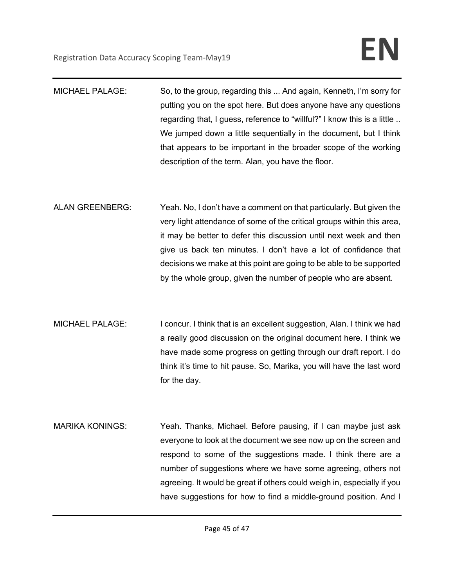| <b>MICHAEL PALAGE:</b> | So, to the group, regarding this  And again, Kenneth, I'm sorry for      |
|------------------------|--------------------------------------------------------------------------|
|                        | putting you on the spot here. But does anyone have any questions         |
|                        | regarding that, I guess, reference to "willful?" I know this is a little |
|                        | We jumped down a little sequentially in the document, but I think        |
|                        | that appears to be important in the broader scope of the working         |
|                        | description of the term. Alan, you have the floor.                       |

- ALAN GREENBERG: Yeah. No, I don't have a comment on that particularly. But given the very light attendance of some of the critical groups within this area, it may be better to defer this discussion until next week and then give us back ten minutes. I don't have a lot of confidence that decisions we make at this point are going to be able to be supported by the whole group, given the number of people who are absent.
- MICHAEL PALAGE: I concur. I think that is an excellent suggestion, Alan. I think we had a really good discussion on the original document here. I think we have made some progress on getting through our draft report. I do think it's time to hit pause. So, Marika, you will have the last word for the day.
- MARIKA KONINGS: Yeah. Thanks, Michael. Before pausing, if I can maybe just ask everyone to look at the document we see now up on the screen and respond to some of the suggestions made. I think there are a number of suggestions where we have some agreeing, others not agreeing. It would be great if others could weigh in, especially if you have suggestions for how to find a middle-ground position. And I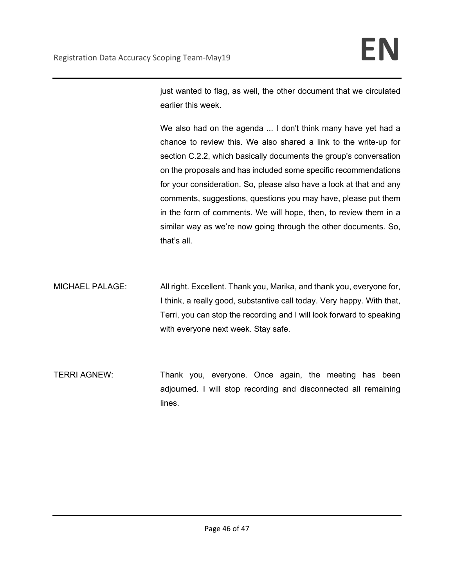just wanted to flag, as well, the other document that we circulated earlier this week.

We also had on the agenda ... I don't think many have yet had a chance to review this. We also shared a link to the write-up for section C.2.2, which basically documents the group's conversation on the proposals and has included some specific recommendations for your consideration. So, please also have a look at that and any comments, suggestions, questions you may have, please put them in the form of comments. We will hope, then, to review them in a similar way as we're now going through the other documents. So, that's all.

MICHAEL PALAGE: All right. Excellent. Thank you, Marika, and thank you, everyone for, I think, a really good, substantive call today. Very happy. With that, Terri, you can stop the recording and I will look forward to speaking with everyone next week. Stay safe.

TERRI AGNEW: Thank you, everyone. Once again, the meeting has been adjourned. I will stop recording and disconnected all remaining lines.